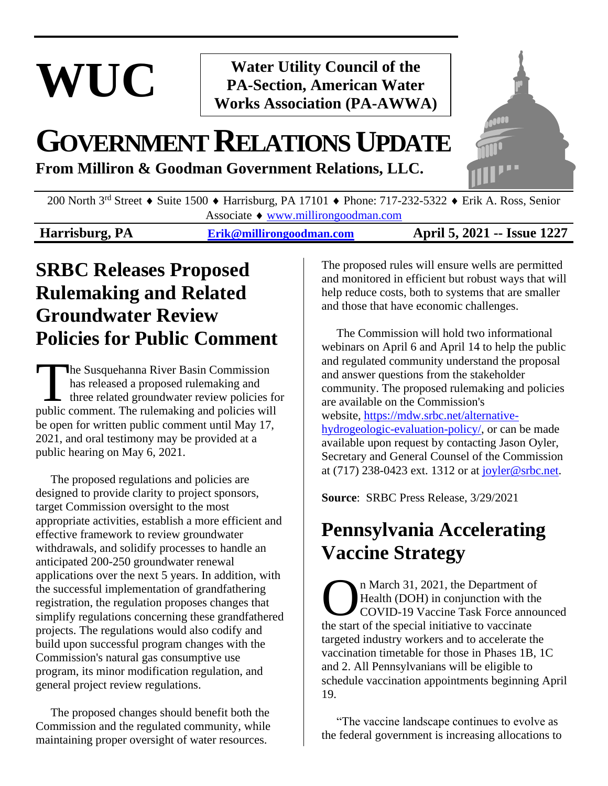# **WUC**

**Water Utility Council of the PA-Section, American Water Works Association (PA-AWWA)**

## **GOVERNMENTRELATIONSUPDATE**

**From Milliron & Goodman Government Relations, LLC.**



200 North 3<sup>rd</sup> Street  $\triangle$  Suite 1500  $\triangle$  Harrisburg, PA 17101  $\triangle$  Phone: 717-232-5322  $\triangle$  Erik A. Ross, Senior Associate [www.millirongoodman.com](http://www.millirongoodman.com/)

**Harrisburg, PA [Erik@millirongoodman.com](mailto:Erik@millirongoodman.com) April 5, 2021 -- Issue 1227**

### **SRBC Releases Proposed Rulemaking and Related Groundwater Review Policies for Public Comment**

he Susquehanna River Basin Commission has released a proposed rulemaking and three related groundwater review policies for The Susquehanna River Basin Commission<br>has released a proposed rulemaking and<br>three related groundwater review policies fo<br>public comment. The rulemaking and policies will be open for written public comment until May 17, 2021, and oral testimony may be provided at a public hearing on May 6, 2021.

 The proposed regulations and policies are designed to provide clarity to project sponsors, target Commission oversight to the most appropriate activities, establish a more efficient and effective framework to review groundwater withdrawals, and solidify processes to handle an anticipated 200-250 groundwater renewal applications over the next 5 years. In addition, with the successful implementation of grandfathering registration, the regulation proposes changes that simplify regulations concerning these grandfathered projects. The regulations would also codify and build upon successful program changes with the Commission's natural gas consumptive use program, its minor modification regulation, and general project review regulations.

 The proposed changes should benefit both the Commission and the regulated community, while maintaining proper oversight of water resources.

The proposed rules will ensure wells are permitted and monitored in efficient but robust ways that will help reduce costs, both to systems that are smaller and those that have economic challenges.

 The Commission will hold two informational webinars on April 6 and April 14 to help the public and regulated community understand the proposal and answer questions from the stakeholder community. The proposed rulemaking and policies are available on the Commission's website, [https://mdw.srbc.net/alternative](https://mdw.srbc.net/alternative-hydrogeologic-evaluation-policy/)[hydrogeologic-evaluation-policy/,](https://mdw.srbc.net/alternative-hydrogeologic-evaluation-policy/) or can be made available upon request by contacting Jason Oyler, Secretary and General Counsel of the Commission at (717) 238-0423 ext. 1312 or at [joyler@srbc.net.](mailto:joyler@srbc.net)

**Source**: SRBC Press Release, 3/29/2021

### **Pennsylvania Accelerating Vaccine Strategy**

n March 31, 2021, the Department of Health (DOH) in conjunction with the COVID-19 Vaccine Task Force announced **COVID-19 Vaccine Task Force and Start of the special initiative to vaccinate** the start of the special initiative to vaccinate targeted industry workers and to accelerate the vaccination timetable for those in Phases 1B, 1C and 2. All Pennsylvanians will be eligible to schedule vaccination appointments beginning April 19.

 "The vaccine landscape continues to evolve as the federal government is increasing allocations to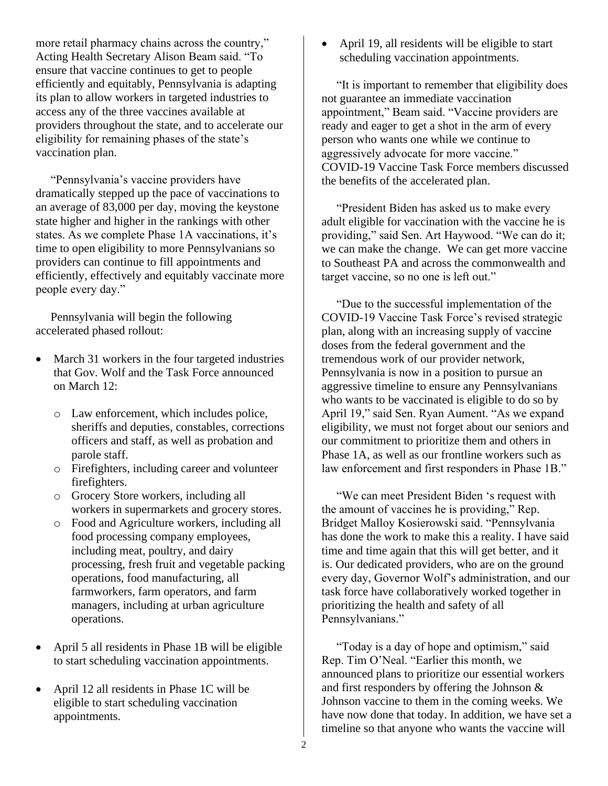more retail pharmacy chains across the country," Acting Health Secretary Alison Beam said. "To ensure that vaccine continues to get to people efficiently and equitably, Pennsylvania is adapting its plan to allow workers in targeted industries to access any of the three vaccines available at providers throughout the state, and to accelerate our eligibility for remaining phases of the state's vaccination plan.

 "Pennsylvania's vaccine providers have dramatically stepped up the pace of vaccinations to an average of 83,000 per day, moving the keystone state higher and higher in the rankings with other states. As we complete Phase 1A vaccinations, it's time to open eligibility to more Pennsylvanians so providers can continue to fill appointments and efficiently, effectively and equitably vaccinate more people every day."

 Pennsylvania will begin the following accelerated phased rollout:

- March 31 workers in the four targeted industries that Gov. Wolf and the Task Force announced on March 12:
	- o Law enforcement, which includes police, sheriffs and deputies, constables, corrections officers and staff, as well as probation and parole staff.
	- o Firefighters, including career and volunteer firefighters.
	- o Grocery Store workers, including all workers in supermarkets and grocery stores.
	- o Food and Agriculture workers, including all food processing company employees, including meat, poultry, and dairy processing, fresh fruit and vegetable packing operations, food manufacturing, all farmworkers, farm operators, and farm managers, including at urban agriculture operations.
- April 5 all residents in Phase 1B will be eligible to start scheduling vaccination appointments.
- April 12 all residents in Phase 1C will be eligible to start scheduling vaccination appointments.

• April 19, all residents will be eligible to start scheduling vaccination appointments.

 "It is important to remember that eligibility does not guarantee an immediate vaccination appointment," Beam said. "Vaccine providers are ready and eager to get a shot in the arm of every person who wants one while we continue to aggressively advocate for more vaccine." COVID-19 Vaccine Task Force members discussed the benefits of the accelerated plan.

 "President Biden has asked us to make every adult eligible for vaccination with the vaccine he is providing," said Sen. Art Haywood. "We can do it; we can make the change. We can get more vaccine to Southeast PA and across the commonwealth and target vaccine, so no one is left out."

 "Due to the successful implementation of the COVID-19 Vaccine Task Force's revised strategic plan, along with an increasing supply of vaccine doses from the federal government and the tremendous work of our provider network, Pennsylvania is now in a position to pursue an aggressive timeline to ensure any Pennsylvanians who wants to be vaccinated is eligible to do so by April 19," said Sen. Ryan Aument. "As we expand eligibility, we must not forget about our seniors and our commitment to prioritize them and others in Phase 1A, as well as our frontline workers such as law enforcement and first responders in Phase 1B."

 "We can meet President Biden 's request with the amount of vaccines he is providing," Rep. Bridget Malloy Kosierowski said. "Pennsylvania has done the work to make this a reality. I have said time and time again that this will get better, and it is. Our dedicated providers, who are on the ground every day, Governor Wolf's administration, and our task force have collaboratively worked together in prioritizing the health and safety of all Pennsylvanians."

 "Today is a day of hope and optimism," said Rep. Tim O'Neal. "Earlier this month, we announced plans to prioritize our essential workers and first responders by offering the Johnson & Johnson vaccine to them in the coming weeks. We have now done that today. In addition, we have set a timeline so that anyone who wants the vaccine will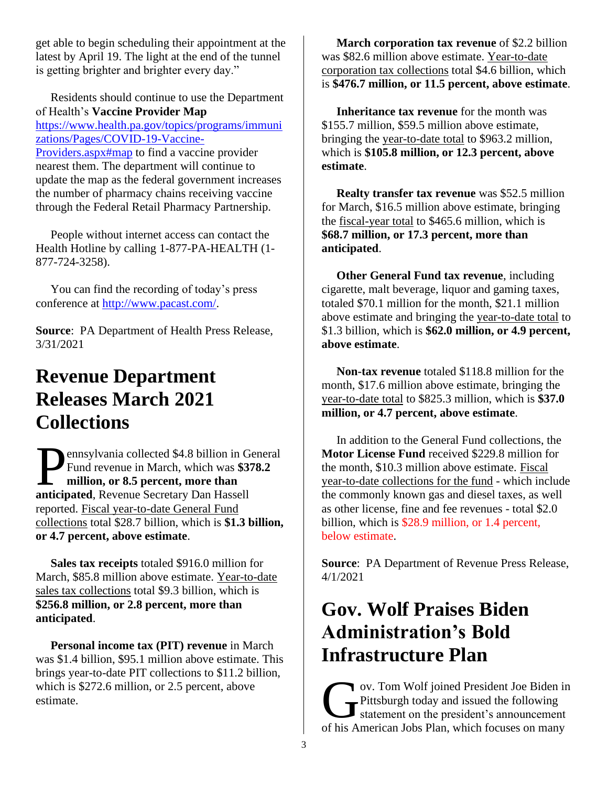get able to begin scheduling their appointment at the latest by April 19. The light at the end of the tunnel is getting brighter and brighter every day."

 Residents should continue to use the Department of Health's **Vaccine Provider Map** [https://www.health.pa.gov/topics/programs/immuni](https://www.health.pa.gov/topics/programs/immunizations/Pages/COVID-19-Vaccine-Providers.aspx#map) [zations/Pages/COVID-19-Vaccine-](https://www.health.pa.gov/topics/programs/immunizations/Pages/COVID-19-Vaccine-Providers.aspx#map)[Providers.aspx#map](https://www.health.pa.gov/topics/programs/immunizations/Pages/COVID-19-Vaccine-Providers.aspx#map) to find a vaccine provider nearest them. The department will continue to update the map as the federal government increases the number of pharmacy chains receiving vaccine through the Federal Retail Pharmacy Partnership.

 People without internet access can contact the Health Hotline by calling 1-877-PA-HEALTH (1- 877-724-3258).

 You can find the recording of today's press conference at [http://www.pacast.com/.](http://www.pacast.com/)

**Source**: PA Department of Health Press Release, 3/31/2021

### **Revenue Department Releases March 2021 Collections**

ennsylvania collected \$4.8 billion in General Fund revenue in March, which was **\$378.2 million, or 8.5 percent, more than Pennsylvania collected \$4.8 billion in G**<br>Fund revenue in March, which was \$3<sup>7</sup><br>million, or 8.5 percent, more than<br>anticipated, Revenue Secretary Dan Hassell reported. Fiscal year-to-date General Fund collections total \$28.7 billion, which is **\$1.3 billion, or 4.7 percent, above estimate**.

 **Sales tax receipts** totaled \$916.0 million for March, \$85.8 million above estimate. Year-to-date sales tax collections total \$9.3 billion, which is **\$256.8 million, or 2.8 percent, more than anticipated**.

 **Personal income tax (PIT) revenue** in March was \$1.4 billion, \$95.1 million above estimate. This brings year-to-date PIT collections to \$11.2 billion, which is \$272.6 million, or 2.5 percent, above estimate.

 **March corporation tax revenue** of \$2.2 billion was \$82.6 million above estimate. Year-to-date corporation tax collections total \$4.6 billion, which is **\$476.7 million, or 11.5 percent, above estimate**.

 **Inheritance tax revenue** for the month was \$155.7 million, \$59.5 million above estimate, bringing the year-to-date total to \$963.2 million, which is **\$105.8 million, or 12.3 percent, above estimate**.

 **Realty transfer tax revenue** was \$52.5 million for March, \$16.5 million above estimate, bringing the fiscal-year total to \$465.6 million, which is **\$68.7 million, or 17.3 percent, more than anticipated**.

 **Other General Fund tax revenue**, including cigarette, malt beverage, liquor and gaming taxes, totaled \$70.1 million for the month, \$21.1 million above estimate and bringing the year-to-date total to \$1.3 billion, which is **\$62.0 million, or 4.9 percent, above estimate**.

 **Non-tax revenue** totaled \$118.8 million for the month, \$17.6 million above estimate, bringing the year-to-date total to \$825.3 million, which is **\$37.0 million, or 4.7 percent, above estimate**.

 In addition to the General Fund collections, the **Motor License Fund** received \$229.8 million for the month, \$10.3 million above estimate. Fiscal year-to-date collections for the fund - which include the commonly known gas and diesel taxes, as well as other license, fine and fee revenues - total \$2.0 billion, which is \$28.9 million, or 1.4 percent, below estimate.

**Source**: PA Department of Revenue Press Release, 4/1/2021

### **Gov. Wolf Praises Biden Administration's Bold Infrastructure Plan**

ov. Tom Wolf joined President Joe Biden in Pittsburgh today and issued the following statement on the president's announcement ov. Tom Wolf joined President Joe Biden in<br>Pittsburgh today and issued the following<br>statement on the president's announcement<br>of his American Jobs Plan, which focuses on many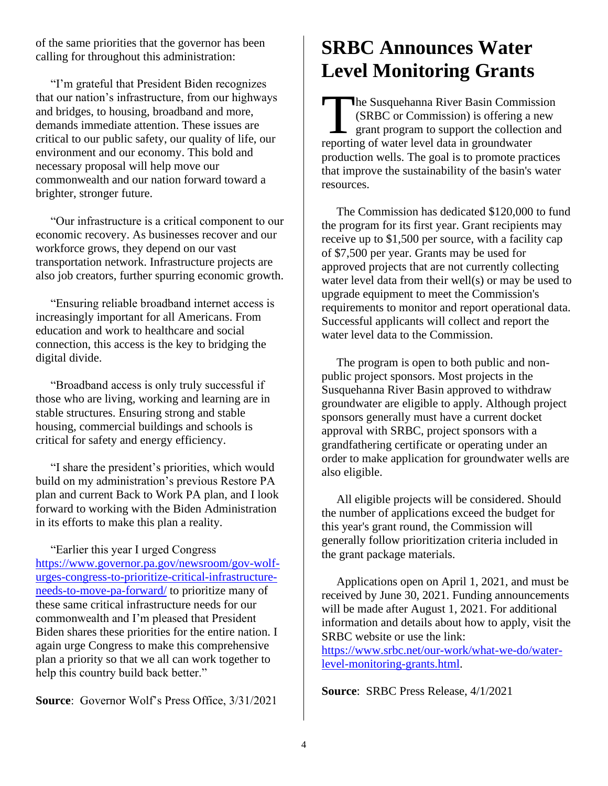of the same priorities that the governor has been calling for throughout this administration:

 "I'm grateful that President Biden recognizes that our nation's infrastructure, from our highways and bridges, to housing, broadband and more, demands immediate attention. These issues are critical to our public safety, our quality of life, our environment and our economy. This bold and necessary proposal will help move our commonwealth and our nation forward toward a brighter, stronger future.

 "Our infrastructure is a critical component to our economic recovery. As businesses recover and our workforce grows, they depend on our vast transportation network. Infrastructure projects are also job creators, further spurring economic growth.

 "Ensuring reliable broadband internet access is increasingly important for all Americans. From education and work to healthcare and social connection, this access is the key to bridging the digital divide.

 "Broadband access is only truly successful if those who are living, working and learning are in stable structures. Ensuring strong and stable housing, commercial buildings and schools is critical for safety and energy efficiency.

 "I share the president's priorities, which would build on my administration's previous Restore PA plan and current Back to Work PA plan, and I look forward to working with the Biden Administration in its efforts to make this plan a reality.

 "Earlier this year I urged Congress [https://www.governor.pa.gov/newsroom/gov-wolf](https://www.governor.pa.gov/newsroom/gov-wolf-urges-congress-to-prioritize-critical-infrastructure-needs-to-move-pa-forward/)[urges-congress-to-prioritize-critical-infrastructure](https://www.governor.pa.gov/newsroom/gov-wolf-urges-congress-to-prioritize-critical-infrastructure-needs-to-move-pa-forward/)[needs-to-move-pa-forward/](https://www.governor.pa.gov/newsroom/gov-wolf-urges-congress-to-prioritize-critical-infrastructure-needs-to-move-pa-forward/) to prioritize many of these same critical infrastructure needs for our commonwealth and I'm pleased that President Biden shares these priorities for the entire nation. I again urge Congress to make this comprehensive plan a priority so that we all can work together to help this country build back better."

**Source:** Governor Wolf's Press Office, 3/31/2021

### **SRBC Announces Water Level Monitoring Grants**

he Susquehanna River Basin Commission (SRBC or Commission) is offering a new grant program to support the collection and The Susquehanna River Basin Commis (SRBC or Commission) is offering a grant program to support the collection reporting of water level data in groundwater production wells. The goal is to promote practices that improve the sustainability of the basin's water resources.

 The Commission has dedicated \$120,000 to fund the program for its first year. Grant recipients may receive up to \$1,500 per source, with a facility cap of \$7,500 per year. Grants may be used for approved projects that are not currently collecting water level data from their well(s) or may be used to upgrade equipment to meet the Commission's requirements to monitor and report operational data. Successful applicants will collect and report the water level data to the Commission.

 The program is open to both public and nonpublic project sponsors. Most projects in the Susquehanna River Basin approved to withdraw groundwater are eligible to apply. Although project sponsors generally must have a current docket approval with SRBC, project sponsors with a grandfathering certificate or operating under an order to make application for groundwater wells are also eligible.

 All eligible projects will be considered. Should the number of applications exceed the budget for this year's grant round, the Commission will generally follow prioritization criteria included in the grant package materials.

 Applications open on April 1, 2021, and must be received by June 30, 2021. Funding announcements will be made after August 1, 2021. For additional information and details about how to apply, visit the SRBC website or use the link:

[https://www.srbc.net/our-work/what-we-do/water](https://www.srbc.net/our-work/what-we-do/water-level-monitoring-grants.html)[level-monitoring-grants.html.](https://www.srbc.net/our-work/what-we-do/water-level-monitoring-grants.html)

**Source**: SRBC Press Release, 4/1/2021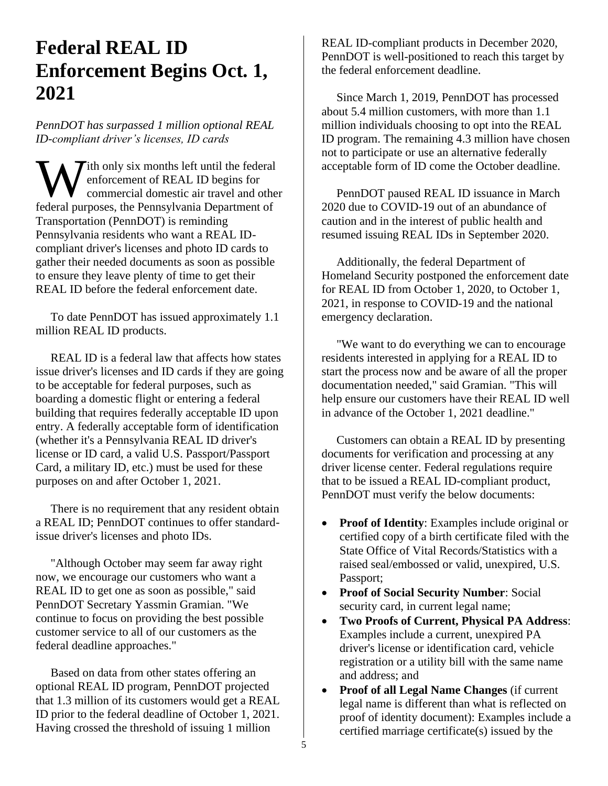### **Federal REAL ID Enforcement Begins Oct. 1, 2021**

*PennDOT has surpassed 1 million optional REAL ID-compliant driver's licenses, ID cards*

Ith only six months left until the federal enforcement of REAL ID begins for commercial domestic air travel and other **FREAL ID begins for**<br> **FREAL ID begins for**<br> **FREAL ID begins for**<br> **FREAL ID begins for**<br> **FEAL ID begins for**<br> **FEAL ID begins for**<br> **FEAL ID begins for**<br> **FEAL ID begins for**<br> **FEAL ID begins for** Transportation (PennDOT) is reminding Pennsylvania residents who want a REAL IDcompliant driver's licenses and photo ID cards to gather their needed documents as soon as possible to ensure they leave plenty of time to get their REAL ID before the federal enforcement date.

 To date PennDOT has issued approximately 1.1 million REAL ID products.

 REAL ID is a federal law that affects how states issue driver's licenses and ID cards if they are going to be acceptable for federal purposes, such as boarding a domestic flight or entering a federal building that requires federally acceptable ID upon entry. A federally acceptable form of identification (whether it's a Pennsylvania REAL ID driver's license or ID card, a valid U.S. Passport/Passport Card, a military ID, etc.) must be used for these purposes on and after October 1, 2021.

 There is no requirement that any resident obtain a REAL ID; PennDOT continues to offer standardissue driver's licenses and photo IDs.

 "Although October may seem far away right now, we encourage our customers who want a REAL ID to get one as soon as possible," said PennDOT Secretary Yassmin Gramian. "We continue to focus on providing the best possible customer service to all of our customers as the federal deadline approaches."

 Based on data from other states offering an optional REAL ID program, PennDOT projected that 1.3 million of its customers would get a REAL ID prior to the federal deadline of October 1, 2021. Having crossed the threshold of issuing 1 million

REAL ID-compliant products in December 2020, PennDOT is well-positioned to reach this target by the federal enforcement deadline.

 Since March 1, 2019, PennDOT has processed about 5.4 million customers, with more than 1.1 million individuals choosing to opt into the REAL ID program. The remaining 4.3 million have chosen not to participate or use an alternative federally acceptable form of ID come the October deadline.

 PennDOT paused REAL ID issuance in March 2020 due to COVID-19 out of an abundance of caution and in the interest of public health and resumed issuing REAL IDs in September 2020.

 Additionally, the federal Department of Homeland Security postponed the enforcement date for REAL ID from October 1, 2020, to October 1, 2021, in response to COVID-19 and the national emergency declaration.

 "We want to do everything we can to encourage residents interested in applying for a REAL ID to start the process now and be aware of all the proper documentation needed," said Gramian. "This will help ensure our customers have their REAL ID well in advance of the October 1, 2021 deadline."

 Customers can obtain a REAL ID by presenting documents for verification and processing at any driver license center. Federal regulations require that to be issued a REAL ID-compliant product, PennDOT must verify the below documents:

- **Proof of Identity**: Examples include original or certified copy of a birth certificate filed with the State Office of Vital Records/Statistics with a raised seal/embossed or valid, unexpired, U.S. Passport;
- **Proof of Social Security Number**: Social security card, in current legal name;
- **Two Proofs of Current, Physical PA Address**: Examples include a current, unexpired PA driver's license or identification card, vehicle registration or a utility bill with the same name and address; and
- **Proof of all Legal Name Changes** (if current legal name is different than what is reflected on proof of identity document): Examples include a certified marriage certificate(s) issued by the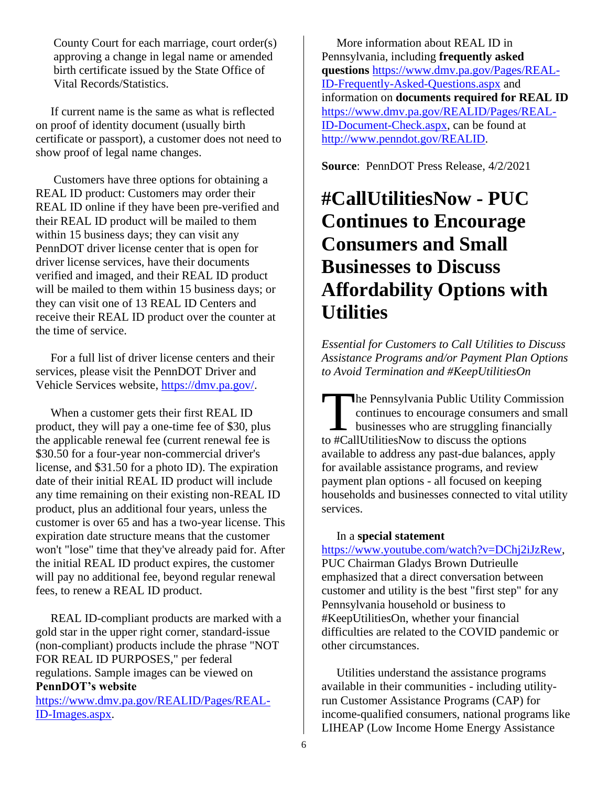County Court for each marriage, court order(s) approving a change in legal name or amended birth certificate issued by the State Office of Vital Records/Statistics.

 If current name is the same as what is reflected on proof of identity document (usually birth certificate or passport), a customer does not need to show proof of legal name changes.

 Customers have three options for obtaining a REAL ID product: Customers may order their REAL ID online if they have been pre-verified and their REAL ID product will be mailed to them within 15 business days; they can visit any PennDOT driver license center that is open for driver license services, have their documents verified and imaged, and their REAL ID product will be mailed to them within 15 business days; or they can visit one of 13 REAL ID Centers and receive their REAL ID product over the counter at the time of service.

 For a full list of driver license centers and their services, please visit the PennDOT Driver and Vehicle Services website, [https://dmv.pa.gov/.](https://dmv.pa.gov/)

 When a customer gets their first REAL ID product, they will pay a one-time fee of \$30, plus the applicable renewal fee (current renewal fee is \$30.50 for a four-year non-commercial driver's license, and \$31.50 for a photo ID). The expiration date of their initial REAL ID product will include any time remaining on their existing non-REAL ID product, plus an additional four years, unless the customer is over 65 and has a two-year license. This expiration date structure means that the customer won't "lose" time that they've already paid for. After the initial REAL ID product expires, the customer will pay no additional fee, beyond regular renewal fees, to renew a REAL ID product.

 REAL ID-compliant products are marked with a gold star in the upper right corner, standard-issue (non-compliant) products include the phrase "NOT FOR REAL ID PURPOSES," per federal regulations. Sample images can be viewed on **PennDOT's website**

[https://www.dmv.pa.gov/REALID/Pages/REAL-](https://www.dmv.pa.gov/REALID/Pages/REAL-ID-Images.aspx)[ID-Images.aspx.](https://www.dmv.pa.gov/REALID/Pages/REAL-ID-Images.aspx)

 More information about REAL ID in Pennsylvania, including **frequently asked questions** [https://www.dmv.pa.gov/Pages/REAL-](https://www.dmv.pa.gov/Pages/REAL-ID-Frequently-Asked-Questions.aspx)[ID-Frequently-Asked-Questions.aspx](https://www.dmv.pa.gov/Pages/REAL-ID-Frequently-Asked-Questions.aspx) and information on **documents required for REAL ID** [https://www.dmv.pa.gov/REALID/Pages/REAL-](https://www.dmv.pa.gov/REALID/Pages/REAL-ID-Document-Check.aspx)[ID-Document-Check.aspx,](https://www.dmv.pa.gov/REALID/Pages/REAL-ID-Document-Check.aspx) can be found at [http://www.penndot.gov/REALID.](http://www.penndot.gov/REALID)

**Source**: PennDOT Press Release, 4/2/2021

### **#CallUtilitiesNow - PUC Continues to Encourage Consumers and Small Businesses to Discuss Affordability Options with Utilities**

*Essential for Customers to Call Utilities to Discuss Assistance Programs and/or Payment Plan Options to Avoid Termination and #KeepUtilitiesOn*

he Pennsylvania Public Utility Commission continues to encourage consumers and small businesses who are struggling financially to #CallUtilitiesNow to discuss the options available to address any past-due balances, apply for available assistance programs, and review payment plan options - all focused on keeping households and businesses connected to vital utility services.  $\prod_{\text{to} \#C_3}$ 

#### In a **special statement**

[https://www.youtube.com/watch?v=DChj2iJzRew,](https://www.youtube.com/watch?v=DChj2iJzRew) PUC Chairman Gladys Brown Dutrieulle emphasized that a direct conversation between customer and utility is the best "first step" for any Pennsylvania household or business to #KeepUtilitiesOn, whether your financial difficulties are related to the COVID pandemic or other circumstances.

 Utilities understand the assistance programs available in their communities - including utilityrun Customer Assistance Programs (CAP) for income-qualified consumers, national programs like LIHEAP (Low Income Home Energy Assistance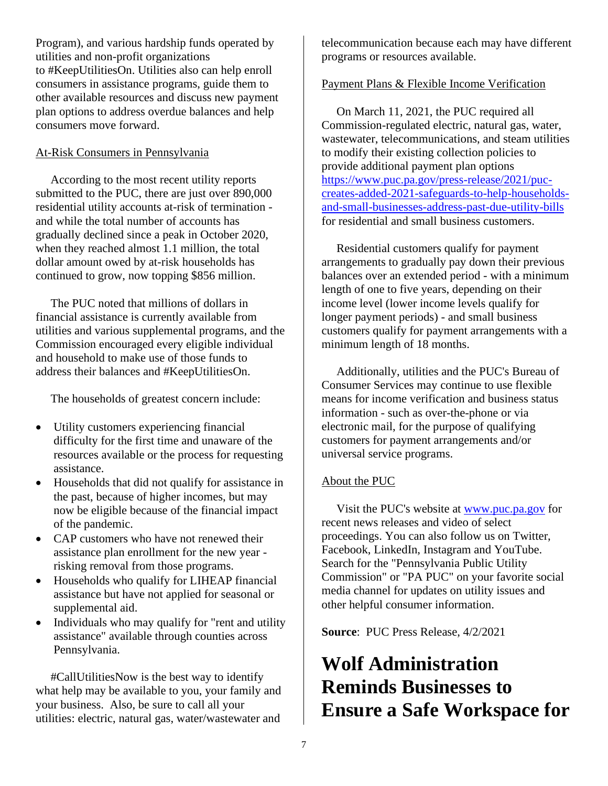Program), and various hardship funds operated by utilities and non-profit organizations to #KeepUtilitiesOn. Utilities also can help enroll consumers in assistance programs, guide them to other available resources and discuss new payment plan options to address overdue balances and help consumers move forward.

#### At-Risk Consumers in Pennsylvania

 According to the most recent utility reports submitted to the PUC, there are just over 890,000 residential utility accounts at-risk of termination and while the total number of accounts has gradually declined since a peak in October 2020, when they reached almost 1.1 million, the total dollar amount owed by at-risk households has continued to grow, now topping \$856 million.

 The PUC noted that millions of dollars in financial assistance is currently available from utilities and various supplemental programs, and the Commission encouraged every eligible individual and household to make use of those funds to address their balances and #KeepUtilitiesOn.

The households of greatest concern include:

- Utility customers experiencing financial difficulty for the first time and unaware of the resources available or the process for requesting assistance.
- Households that did not qualify for assistance in the past, because of higher incomes, but may now be eligible because of the financial impact of the pandemic.
- CAP customers who have not renewed their assistance plan enrollment for the new year risking removal from those programs.
- Households who qualify for LIHEAP financial assistance but have not applied for seasonal or supplemental aid.
- Individuals who may qualify for "rent and utility" assistance" available through counties across Pennsylvania.

 #CallUtilitiesNow is the best way to identify what help may be available to you, your family and your business. Also, be sure to call all your utilities: electric, natural gas, water/wastewater and

telecommunication because each may have different programs or resources available.

#### Payment Plans & Flexible Income Verification

 On March 11, 2021, the PUC required all Commission-regulated electric, natural gas, water, wastewater, telecommunications, and steam utilities to modify their existing collection policies to provide additional payment plan options [https://www.puc.pa.gov/press-release/2021/puc](https://www.puc.pa.gov/press-release/2021/puc-creates-added-2021-safeguards-to-help-households-and-small-businesses-address-past-due-utility-bills)[creates-added-2021-safeguards-to-help-households](https://www.puc.pa.gov/press-release/2021/puc-creates-added-2021-safeguards-to-help-households-and-small-businesses-address-past-due-utility-bills)[and-small-businesses-address-past-due-utility-bills](https://www.puc.pa.gov/press-release/2021/puc-creates-added-2021-safeguards-to-help-households-and-small-businesses-address-past-due-utility-bills) for residential and small business customers.

 Residential customers qualify for payment arrangements to gradually pay down their previous balances over an extended period - with a minimum length of one to five years, depending on their income level (lower income levels qualify for longer payment periods) - and small business customers qualify for payment arrangements with a minimum length of 18 months.

 Additionally, utilities and the PUC's Bureau of Consumer Services may continue to use flexible means for income verification and business status information - such as over-the-phone or via electronic mail, for the purpose of qualifying customers for payment arrangements and/or universal service programs.

#### About the PUC

 Visit the PUC's website at [www.puc.pa.gov](http://www.puc.pa.gov/) for recent news releases and video of select proceedings. You can also follow us on Twitter, Facebook, LinkedIn, Instagram and YouTube. Search for the "Pennsylvania Public Utility Commission" or "PA PUC" on your favorite social media channel for updates on utility issues and other helpful consumer information.

**Source**: PUC Press Release, 4/2/2021

### **Wolf Administration Reminds Businesses to Ensure a Safe Workspace for**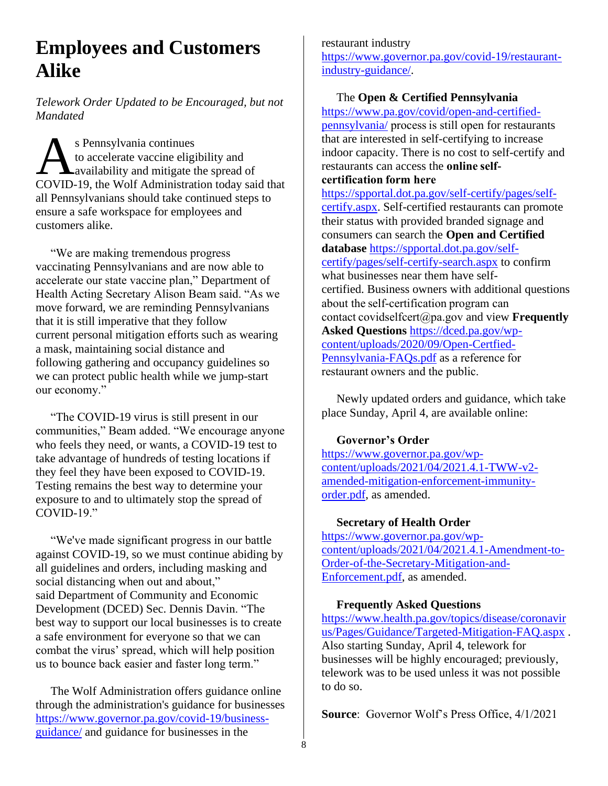### **Employees and Customers Alike**

*Telework Order Updated to be Encouraged, but not Mandated*

s Pennsylvania continues to accelerate vaccine eligibility and availability and mitigate the spread of COVID-19, the Wolf Administration today said that all Pennsylvanians should take continued steps to ensure a safe workspace for employees and customers alike.  $\overline{A}$ 

 "We are making tremendous progress vaccinating Pennsylvanians and are now able to accelerate our state vaccine plan," Department of Health Acting Secretary Alison Beam said. "As we move forward, we are reminding Pennsylvanians that it is still imperative that they follow current personal mitigation efforts such as wearing a mask, maintaining social distance and following gathering and occupancy guidelines so we can protect public health while we jump-start our economy."

 "The COVID-19 virus is still present in our communities," Beam added. "We encourage anyone who feels they need, or wants, a COVID-19 test to take advantage of hundreds of testing locations if they feel they have been exposed to COVID-19. Testing remains the best way to determine your exposure to and to ultimately stop the spread of COVID-19."

 "We've made significant progress in our battle against COVID-19, so we must continue abiding by all guidelines and orders, including masking and social distancing when out and about," said Department of Community and Economic Development (DCED) Sec. Dennis Davin. "The best way to support our local businesses is to create a safe environment for everyone so that we can combat the virus' spread, which will help position us to bounce back easier and faster long term."

 The Wolf Administration offers guidance online through the administration's guidance for businesses [https://www.governor.pa.gov/covid-19/business](https://www.governor.pa.gov/covid-19/business-guidance/)[guidance/](https://www.governor.pa.gov/covid-19/business-guidance/) and guidance for businesses in the

restaurant industry [https://www.governor.pa.gov/covid-19/restaurant](https://www.governor.pa.gov/covid-19/restaurant-industry-guidance/)[industry-guidance/.](https://www.governor.pa.gov/covid-19/restaurant-industry-guidance/)

#### The **Open & Certified Pennsylvania**

[https://www.pa.gov/covid/open-and-certified](https://www.pa.gov/covid/open-and-certified-pennsylvania/)[pennsylvania/](https://www.pa.gov/covid/open-and-certified-pennsylvania/) process is still open for restaurants that are interested in self-certifying to increase indoor capacity. There is no cost to self-certify and restaurants can access the **online selfcertification form here**

[https://spportal.dot.pa.gov/self-certify/pages/self](https://spportal.dot.pa.gov/self-certify/pages/self-certify.aspx)[certify.aspx.](https://spportal.dot.pa.gov/self-certify/pages/self-certify.aspx) Self-certified restaurants can promote their status with provided branded signage and consumers can search the **Open and Certified database** [https://spportal.dot.pa.gov/self](https://spportal.dot.pa.gov/self-certify/pages/self-certify-search.aspx)[certify/pages/self-certify-search.aspx](https://spportal.dot.pa.gov/self-certify/pages/self-certify-search.aspx) to confirm what businesses near them have selfcertified. Business owners with additional questions about the self-certification program can contact covidselfcert@pa.gov and view **Frequently Asked Questions** [https://dced.pa.gov/wp](https://dced.pa.gov/wp-content/uploads/2020/09/Open-Certfied-Pennsylvania-FAQs.pdf)[content/uploads/2020/09/Open-Certfied-](https://dced.pa.gov/wp-content/uploads/2020/09/Open-Certfied-Pennsylvania-FAQs.pdf)[Pennsylvania-FAQs.pdf](https://dced.pa.gov/wp-content/uploads/2020/09/Open-Certfied-Pennsylvania-FAQs.pdf) as a reference for  restaurant owners and the public.

 Newly updated orders and guidance, which take place Sunday, April 4, are available online:

#### **Governor's Order**

[https://www.governor.pa.gov/wp](https://www.governor.pa.gov/wp-content/uploads/2021/04/2021.4.1-TWW-v2-amended-mitigation-enforcement-immunity-order.pdf)[content/uploads/2021/04/2021.4.1-TWW-v2](https://www.governor.pa.gov/wp-content/uploads/2021/04/2021.4.1-TWW-v2-amended-mitigation-enforcement-immunity-order.pdf) [amended-mitigation-enforcement-immunity](https://www.governor.pa.gov/wp-content/uploads/2021/04/2021.4.1-TWW-v2-amended-mitigation-enforcement-immunity-order.pdf)[order.pdf,](https://www.governor.pa.gov/wp-content/uploads/2021/04/2021.4.1-TWW-v2-amended-mitigation-enforcement-immunity-order.pdf) as amended.

#### **Secretary of Health Order**

[https://www.governor.pa.gov/wp](https://www.governor.pa.gov/wp-content/uploads/2021/04/2021.4.1-Amendment-to-Order-of-the-Secretary-Mitigation-and-Enforcement.pdf)[content/uploads/2021/04/2021.4.1-Amendment-to-](https://www.governor.pa.gov/wp-content/uploads/2021/04/2021.4.1-Amendment-to-Order-of-the-Secretary-Mitigation-and-Enforcement.pdf)[Order-of-the-Secretary-Mitigation-and-](https://www.governor.pa.gov/wp-content/uploads/2021/04/2021.4.1-Amendment-to-Order-of-the-Secretary-Mitigation-and-Enforcement.pdf)[Enforcement.pdf,](https://www.governor.pa.gov/wp-content/uploads/2021/04/2021.4.1-Amendment-to-Order-of-the-Secretary-Mitigation-and-Enforcement.pdf) as amended.

#### **Frequently Asked Questions**

[https://www.health.pa.gov/topics/disease/coronavir](https://www.health.pa.gov/topics/disease/coronavirus/Pages/Guidance/Targeted-Mitigation-FAQ.aspx) [us/Pages/Guidance/Targeted-Mitigation-FAQ.aspx](https://www.health.pa.gov/topics/disease/coronavirus/Pages/Guidance/Targeted-Mitigation-FAQ.aspx) . Also starting Sunday, April 4, telework for businesses will be highly encouraged; previously, telework was to be used unless it was not possible to do so.

**Source**: Governor Wolf's Press Office, 4/1/2021